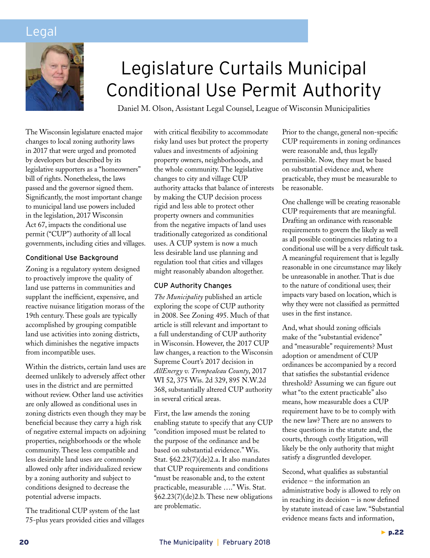## Legal



# Legislature Curtails Municipal Conditional Use Permit Authority

Daniel M. Olson, Assistant Legal Counsel, League of Wisconsin Municipalities

The Wisconsin legislature enacted major changes to local zoning authority laws in 2017 that were urged and promoted by developers but described by its legislative supporters as a "homeowners" bill of rights. Nonetheless, the laws passed and the governor signed them. Significantly, the most important change to municipal land use powers included in the legislation, 2017 Wisconsin Act 67, impacts the conditional use permit ("CUP") authority of all local governments, including cities and villages.

#### Conditional Use Background

Zoning is a regulatory system designed to proactively improve the quality of land use patterns in communities and supplant the inefficient, expensive, and reactive nuisance litigation morass of the 19th century. These goals are typically accomplished by grouping compatible land use activities into zoning districts, which diminishes the negative impacts from incompatible uses.

Within the districts, certain land uses are deemed unlikely to adversely affect other uses in the district and are permitted without review. Other land use activities are only allowed as conditional uses in zoning districts even though they may be beneficial because they carry a high risk of negative external impacts on adjoining properties, neighborhoods or the whole community. These less compatible and less desirable land uses are commonly allowed only after individualized review by a zoning authority and subject to conditions designed to decrease the potential adverse impacts.

The traditional CUP system of the last 75-plus years provided cities and villages with critical flexibility to accommodate risky land uses but protect the property values and investments of adjoining property owners, neighborhoods, and the whole community. The legislative changes to city and village CUP authority attacks that balance of interests by making the CUP decision process rigid and less able to protect other property owners and communities from the negative impacts of land uses traditionally categorized as conditional uses. A CUP system is now a much less desirable land use planning and regulation tool that cities and villages might reasonably abandon altogether.

#### CUP Authority Changes

*The Municipality* published an article exploring the scope of CUP authority in 2008. See Zoning 495. Much of that article is still relevant and important to a full understanding of CUP authority in Wisconsin. However, the 2017 CUP law changes, a reaction to the Wisconsin Supreme Court's 2017 decision in *AllEnergy v. Trempealeau County*, 2017 WI 52, 375 Wis. 2d 329, 895 N.W.2d 368, substantially altered CUP authority in several critical areas.

First, the law amends the zoning enabling statute to specify that any CUP "condition imposed must be related to the purpose of the ordinance and be based on substantial evidence." Wis. Stat. §62.23(7)(de)2.a. It also mandates that CUP requirements and conditions "must be reasonable and, to the extent practicable, measurable …." Wis. Stat. §62.23(7)(de)2.b. These new obligations are problematic.

Prior to the change, general non-specific CUP requirements in zoning ordinances were reasonable and, thus legally permissible. Now, they must be based on substantial evidence and, where practicable, they must be measurable to be reasonable.

One challenge will be creating reasonable CUP requirements that are meaningful. Drafting an ordinance with reasonable requirements to govern the likely as well as all possible contingencies relating to a conditional use will be a very difficult task. A meaningful requirement that is legally reasonable in one circumstance may likely be unreasonable in another. That is due to the nature of conditional uses; their impacts vary based on location, which is why they were not classified as permitted uses in the first instance.

And, what should zoning officials make of the "substantial evidence" and "measurable" requirements? Must adoption or amendment of CUP ordinances be accompanied by a record that satisfies the substantial evidence threshold? Assuming we can figure out what "to the extent practicable" also means, how measurable does a CUP requirement have to be to comply with the new law? There are no answers to these questions in the statute and, the courts, through costly litigation, will likely be the only authority that might satisfy a disgruntled developer.

Second, what qualifies as substantial evidence – the information an administrative body is allowed to rely on in reaching its decision – is now defined by statute instead of case law. "Substantial evidence means facts and information,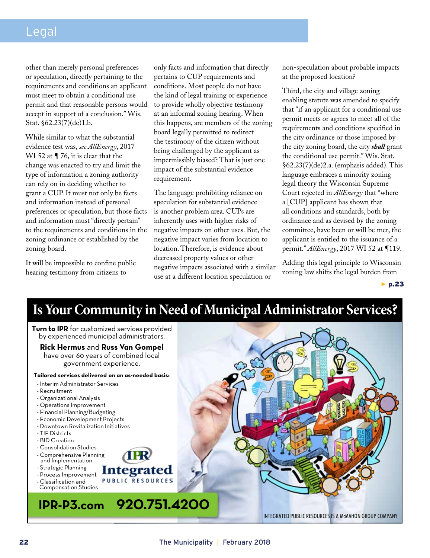## Legal

other than merely personal preferences or speculation, directly pertaining to the requirements and conditions an applicant must meet to obtain a conditional use permit and that reasonable persons would accept in support of a conclusion." Wis. Stat. §62.23(7)(de)1.b.

While similar to what the substantial evidence test was, *see AllEnergy*, 2017 WI 52 at ¶ 76, it is clear that the change was enacted to try and limit the type of information a zoning authority can rely on in deciding whether to grant a CUP. It must not only be facts and information instead of personal preferences or speculation, but those facts and information must "directly pertain" to the requirements and conditions in the zoning ordinance or established by the zoning board.

It will be impossible to confine public hearing testimony from citizens to

only facts and information that directly pertains to CUP requirements and conditions. Most people do not have the kind of legal training or experience to provide wholly objective testimony at an informal zoning hearing. When this happens, are members of the zoning board legally permitted to redirect the testimony of the citizen without being challenged by the applicant as impermissibly biased? That is just one impact of the substantial evidence requirement.

The language prohibiting reliance on speculation for substantial evidence is another problem area. CUPs are inherently uses with higher risks of negative impacts on other uses. But, the negative impact varies from location to location. Therefore, is evidence about decreased property values or other negative impacts associated with a similar use at a different location speculation or

non-speculation about probable impacts at the proposed location?

Third, the city and village zoning enabling statute was amended to specify that "if an applicant for a conditional use permit meets or agrees to meet all of the requirements and conditions specified in the city ordinance or those imposed by the city zoning board, the city *shall* grant the conditional use permit." Wis. Stat. §62.23(7)(de)2.a. (emphasis added). This language embraces a minority zoning legal theory the Wisconsin Supreme Court rejected in *AllEnergy* that "where a [CUP] applicant has shown that all conditions and standards, both by ordinance and as devised by the zoning committee, have been or will be met, the applicant is entitled to the issuance of a permit." *AllEnergy*, 2017 WI 52 at ¶119.

Adding this legal principle to Wisconsin zoning law shifts the legal burden from

 $\blacktriangleright$  p.23

## **Is Your Community in Need of Municipal Administrator Services?**

**Turn to IPR** for customized services provided by experienced municipal administrators. **Rick Hermus** and **Russ Van Gompel** have over 60 years of combined local government experience. **Tailored services delivered on an as-needed basis:** - Interim Administrator Services - Recruitment - Organizational Analysis - Operations Improvement - Financial Planning/Budgeting - Economic Development Projects - Downtown Revitalization Initiatives - TIF Districts - BID Creation - Consolidation Studies - Comprehensive Planning and Implementation - Strategic Planning Integrated - Process Improvement **PUBLIC RESOURCES** - Classification and Compensation Studies**IPR-P3.com 920.751.4200** INTEGRATED PUBLIC RESOURCES IS A McMAHON GROUP COMPANY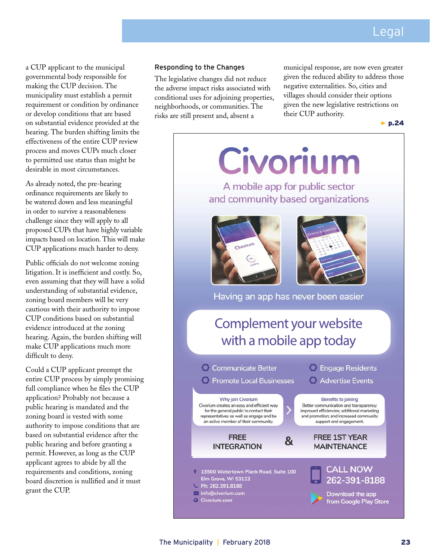a CUP applicant to the municipal governmental body responsible for making the CUP decision. The municipality must establish a permit requirement or condition by ordinance or develop conditions that are based on substantial evidence provided at the hearing. The burden shifting limits the effectiveness of the entire CUP review process and moves CUPs much closer to permitted use status than might be desirable in most circumstances.

As already noted, the pre-hearing ordinance requirements are likely to be watered down and less meaningful in order to survive a reasonableness challenge since they will apply to all proposed CUPs that have highly variable impacts based on location. This will make CUP applications much harder to deny.

Public officials do not welcome zoning litigation. It is inefficient and costly. So, even assuming that they will have a solid understanding of substantial evidence, zoning board members will be very cautious with their authority to impose CUP conditions based on substantial evidence introduced at the zoning hearing. Again, the burden shifting will make CUP applications much more difficult to deny.

Could a CUP applicant preempt the entire CUP process by simply promising full compliance when he files the CUP application? Probably not because a public hearing is mandated and the zoning board is vested with some authority to impose conditions that are based on substantial evidence after the public hearing and before granting a permit. However, as long as the CUP applicant agrees to abide by all the requirements and conditions, zoning board discretion is nullified and it must grant the CUP.

#### Responding to the Changes

The legislative changes did not reduce the adverse impact risks associated with conditional uses for adjoining properties, neighborhoods, or communities. The risks are still present and, absent a

municipal response, are now even greater given the reduced ability to address those negative externalities. So, cities and villages should consider their options given the new legislative restrictions on their CUP authority.

▶ p.24